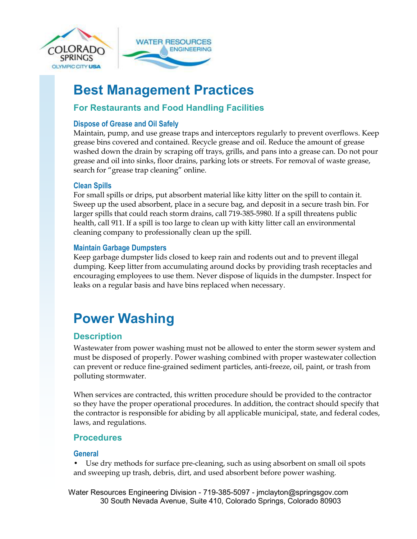



# **Best Management Practices**

## **For Restaurants and Food Handling Facilities**

## **Dispose of Grease and Oil Safely**

Maintain, pump, and use grease traps and interceptors regularly to prevent overflows. Keep grease bins covered and contained. Recycle grease and oil. Reduce the amount of grease washed down the drain by scraping off trays, grills, and pans into a grease can. Do not pour grease and oil into sinks, floor drains, parking lots or streets. For removal of waste grease, search for "grease trap cleaning" online.

## **Clean Spills**

For small spills or drips, put absorbent material like kitty litter on the spill to contain it. Sweep up the used absorbent, place in a secure bag, and deposit in a secure trash bin. For larger spills that could reach storm drains, call 719-385-5980. If a spill threatens public health, call 911. If a spill is too large to clean up with kitty litter call an environmental cleaning company to professionally clean up the spill.

### **Maintain Garbage Dumpsters**

Keep garbage dumpster lids closed to keep rain and rodents out and to prevent illegal dumping. Keep litter from accumulating around docks by providing trash receptacles and encouraging employees to use them. Never dispose of liquids in the dumpster. Inspect for leaks on a regular basis and have bins replaced when necessary.

# **Power Washing**

## **Description**

Wastewater from power washing must not be allowed to enter the storm sewer system and must be disposed of properly. Power washing combined with proper wastewater collection can prevent or reduce fine-grained sediment particles, anti-freeze, oil, paint, or trash from polluting stormwater.

When services are contracted, this written procedure should be provided to the contractor so they have the proper operational procedures. In addition, the contract should specify that the contractor is responsible for abiding by all applicable municipal, state, and federal codes, laws, and regulations.

## **Procedures**

### **General**

• Use dry methods for surface pre-cleaning, such as using absorbent on small oil spots and sweeping up trash, debris, dirt, and used absorbent before power washing.

Water Resources Engineering Division - 719-385-5097 - jmclayton@springsgov.com 30 South Nevada Avenue, Suite 410, Colorado Springs, Colorado 80903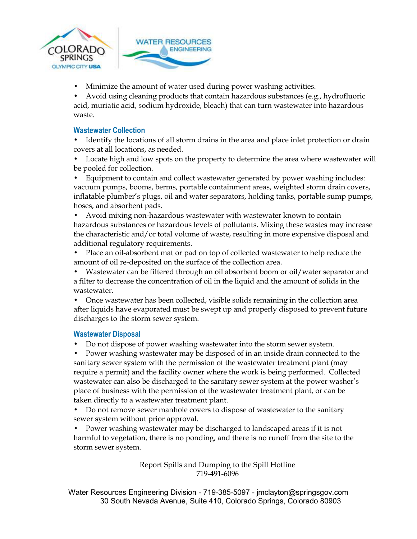

• Minimize the amount of water used during power washing activities.

**ENGINEERING** 

• Avoid using cleaning products that contain hazardous substances (e.g., hydrofluoric acid, muriatic acid, sodium hydroxide, bleach) that can turn wastewater into hazardous waste.

#### **Wastewater Collection**

- Identify the locations of all storm drains in the area and place inlet protection or drain covers at all locations, as needed.
- Locate high and low spots on the property to determine the area where wastewater will be pooled for collection.
- Equipment to contain and collect wastewater generated by power washing includes: vacuum pumps, booms, berms, portable containment areas, weighted storm drain covers, inflatable plumber's plugs, oil and water separators, holding tanks, portable sump pumps, hoses, and absorbent pads.
- Avoid mixing non-hazardous wastewater with wastewater known to contain hazardous substances or hazardous levels of pollutants. Mixing these wastes may increase the characteristic and/or total volume of waste, resulting in more expensive disposal and additional regulatory requirements.
- Place an oil-absorbent mat or pad on top of collected wastewater to help reduce the amount of oil re-deposited on the surface of the collection area.
- Wastewater can be filtered through an oil absorbent boom or oil/water separator and a filter to decrease the concentration of oil in the liquid and the amount of solids in the wastewater.
- Once wastewater has been collected, visible solids remaining in the collection area after liquids have evaporated must be swept up and properly disposed to prevent future discharges to the storm sewer system.

#### **Wastewater Disposal**

• Do not dispose of power washing wastewater into the storm sewer system.

• Power washing wastewater may be disposed of in an inside drain connected to the sanitary sewer system with the permission of the wastewater treatment plant (may require a permit) and the facility owner where the work is being performed. Collected wastewater can also be discharged to the sanitary sewer system at the power washer's place of business with the permission of the wastewater treatment plant, or can be taken directly to a wastewater treatment plant.

• Do not remove sewer manhole covers to dispose of wastewater to the sanitary sewer system without prior approval.

• Power washing wastewater may be discharged to landscaped areas if it is not harmful to vegetation, there is no ponding, and there is no runoff from the site to the storm sewer system.

> Report Spills and Dumping to the Spill Hotline 719-491-6096

Water Resources Engineering Division - 719-385-5097 - jmclayton@springsgov.com 30 South Nevada Avenue, Suite 410, Colorado Springs, Colorado 80903